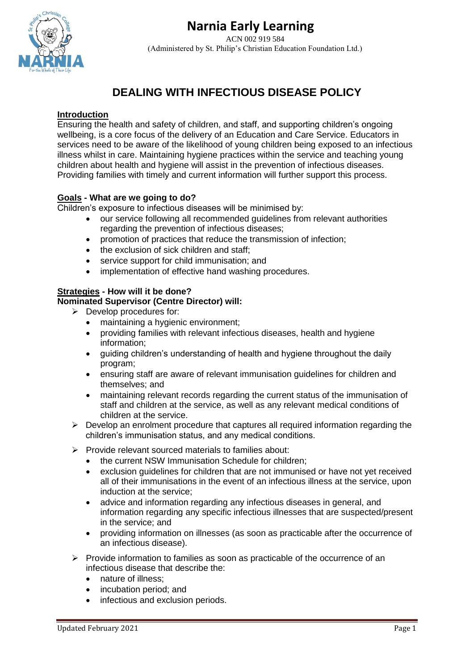**Narnia Early Learning**

ACN 002 919 584 (Administered by St. Philip's Christian Education Foundation Ltd.)

# **DEALING WITH INFECTIOUS DISEASE POLICY**

## **Introduction**

Ensuring the health and safety of children, and staff, and supporting children's ongoing wellbeing, is a core focus of the delivery of an Education and Care Service. Educators in services need to be aware of the likelihood of young children being exposed to an infectious illness whilst in care. Maintaining hygiene practices within the service and teaching young children about health and hygiene will assist in the prevention of infectious diseases. Providing families with timely and current information will further support this process.

## **Goals - What are we going to do?**

Children's exposure to infectious diseases will be minimised by:

- our service following all recommended guidelines from relevant authorities regarding the prevention of infectious diseases;
- promotion of practices that reduce the transmission of infection;
- the exclusion of sick children and staff:
- service support for child immunisation; and
- implementation of effective hand washing procedures.

#### **Strategies - How will it be done? Nominated Supervisor (Centre Director) will:**

- ➢ Develop procedures for:
	- maintaining a hygienic environment;
	- providing families with relevant infectious diseases, health and hygiene information;
	- guiding children's understanding of health and hygiene throughout the daily program;
	- ensuring staff are aware of relevant immunisation guidelines for children and themselves; and
	- maintaining relevant records regarding the current status of the immunisation of staff and children at the service, as well as any relevant medical conditions of children at the service.
- $\triangleright$  Develop an enrolment procedure that captures all required information regarding the children's immunisation status, and any medical conditions.
- ➢ Provide relevant sourced materials to families about:
	- the current NSW Immunisation Schedule for children;
	- exclusion guidelines for children that are not immunised or have not yet received all of their immunisations in the event of an infectious illness at the service, upon induction at the service;
	- advice and information regarding any infectious diseases in general, and information regarding any specific infectious illnesses that are suspected/present in the service; and
	- providing information on illnesses (as soon as practicable after the occurrence of an infectious disease).
- $\triangleright$  Provide information to families as soon as practicable of the occurrence of an infectious disease that describe the:
	- nature of illness;
	- incubation period; and
	- infectious and exclusion periods.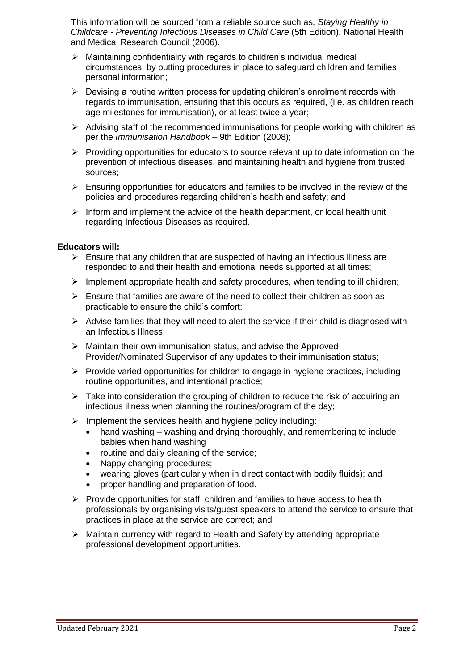This information will be sourced from a reliable source such as, *Staying Healthy in Childcare - Preventing Infectious Diseases in Child Care* (5th Edition), National Health and Medical Research Council (2006).

- $\triangleright$  Maintaining confidentiality with regards to children's individual medical circumstances, by putting procedures in place to safeguard children and families personal information;
- $\triangleright$  Devising a routine written process for updating children's enrolment records with regards to immunisation, ensuring that this occurs as required, (i.e. as children reach age milestones for immunisation), or at least twice a year;
- $\triangleright$  Advising staff of the recommended immunisations for people working with children as per the *Immunisation Handbook* – 9th Edition (2008);
- ➢ Providing opportunities for educators to source relevant up to date information on the prevention of infectious diseases, and maintaining health and hygiene from trusted sources;
- $\triangleright$  Ensuring opportunities for educators and families to be involved in the review of the policies and procedures regarding children's health and safety; and
- $\triangleright$  Inform and implement the advice of the health department, or local health unit regarding Infectious Diseases as required.

#### **Educators will:**

- $\triangleright$  Ensure that any children that are suspected of having an infectious Illness are responded to and their health and emotional needs supported at all times;
- ➢ Implement appropriate health and safety procedures, when tending to ill children;
- $\triangleright$  Ensure that families are aware of the need to collect their children as soon as practicable to ensure the child's comfort;
- $\triangleright$  Advise families that they will need to alert the service if their child is diagnosed with an Infectious Illness;
- ➢ Maintain their own immunisation status, and advise the Approved Provider/Nominated Supervisor of any updates to their immunisation status;
- $\triangleright$  Provide varied opportunities for children to engage in hygiene practices, including routine opportunities, and intentional practice;
- $\triangleright$  Take into consideration the grouping of children to reduce the risk of acquiring an infectious illness when planning the routines/program of the day;
- $\triangleright$  Implement the services health and hygiene policy including:
	- hand washing washing and drying thoroughly, and remembering to include babies when hand washing
	- routine and daily cleaning of the service;
	- Nappy changing procedures;
	- wearing gloves (particularly when in direct contact with bodily fluids); and
	- proper handling and preparation of food.
- ➢ Provide opportunities for staff, children and families to have access to health professionals by organising visits/guest speakers to attend the service to ensure that practices in place at the service are correct; and
- ➢ Maintain currency with regard to Health and Safety by attending appropriate professional development opportunities.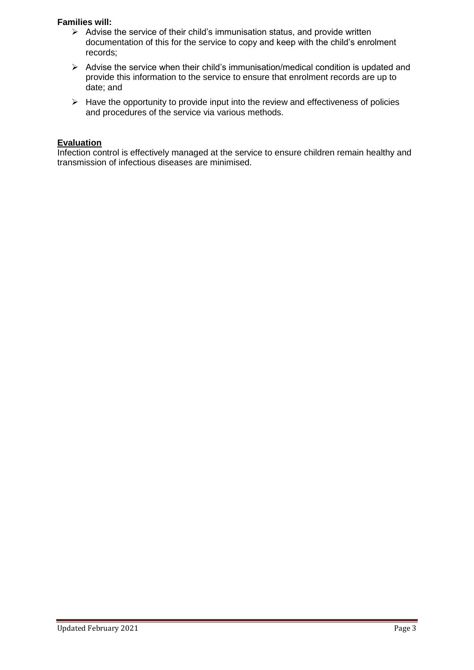### **Families will:**

- ➢ Advise the service of their child's immunisation status, and provide written documentation of this for the service to copy and keep with the child's enrolment records;
- ➢ Advise the service when their child's immunisation/medical condition is updated and provide this information to the service to ensure that enrolment records are up to date; and
- $\triangleright$  Have the opportunity to provide input into the review and effectiveness of policies and procedures of the service via various methods.

### **Evaluation**

Infection control is effectively managed at the service to ensure children remain healthy and transmission of infectious diseases are minimised.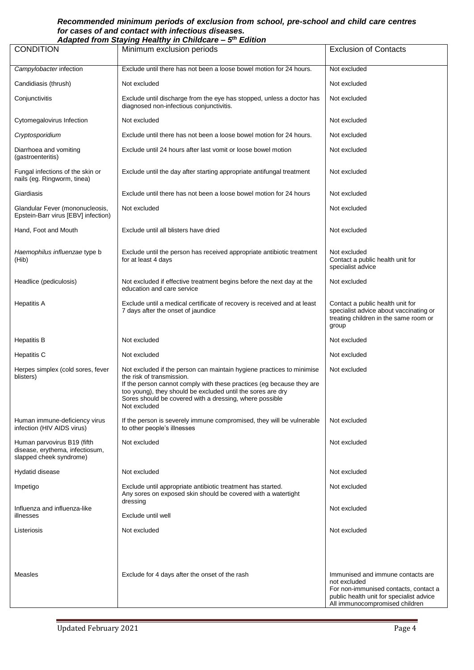#### *Recommended minimum periods of exclusion from school, pre-school and child care centres for cases of and contact with infectious diseases.*

| Adapted from Staying Healthy in Childcare - 5th Edition                                   |                                                                                                                                                                                                                                                                                                                       |                                                                                                                                                                          |  |
|-------------------------------------------------------------------------------------------|-----------------------------------------------------------------------------------------------------------------------------------------------------------------------------------------------------------------------------------------------------------------------------------------------------------------------|--------------------------------------------------------------------------------------------------------------------------------------------------------------------------|--|
| <b>CONDITION</b>                                                                          | Minimum exclusion periods                                                                                                                                                                                                                                                                                             | <b>Exclusion of Contacts</b>                                                                                                                                             |  |
| Campylobacter infection                                                                   | Exclude until there has not been a loose bowel motion for 24 hours.                                                                                                                                                                                                                                                   | Not excluded                                                                                                                                                             |  |
| Candidiasis (thrush)                                                                      | Not excluded                                                                                                                                                                                                                                                                                                          | Not excluded                                                                                                                                                             |  |
| Conjunctivitis                                                                            | Exclude until discharge from the eye has stopped, unless a doctor has<br>diagnosed non-infectious conjunctivitis.                                                                                                                                                                                                     | Not excluded                                                                                                                                                             |  |
| Cytomegalovirus Infection                                                                 | Not excluded                                                                                                                                                                                                                                                                                                          | Not excluded                                                                                                                                                             |  |
| Cryptosporidium                                                                           | Exclude until there has not been a loose bowel motion for 24 hours.                                                                                                                                                                                                                                                   | Not excluded                                                                                                                                                             |  |
| Diarrhoea and vomiting<br>(gastroenteritis)                                               | Exclude until 24 hours after last vomit or loose bowel motion                                                                                                                                                                                                                                                         | Not excluded                                                                                                                                                             |  |
| Fungal infections of the skin or<br>nails (eg. Ringworm, tinea)                           | Exclude until the day after starting appropriate antifungal treatment                                                                                                                                                                                                                                                 | Not excluded                                                                                                                                                             |  |
| Giardiasis                                                                                | Exclude until there has not been a loose bowel motion for 24 hours                                                                                                                                                                                                                                                    | Not excluded                                                                                                                                                             |  |
| Glandular Fever (mononucleosis,<br>Epstein-Barr virus [EBV] infection)                    | Not excluded                                                                                                                                                                                                                                                                                                          | Not excluded                                                                                                                                                             |  |
| Hand, Foot and Mouth                                                                      | Exclude until all blisters have dried                                                                                                                                                                                                                                                                                 | Not excluded                                                                                                                                                             |  |
| Haemophilus influenzae type b<br>(Hib)                                                    | Exclude until the person has received appropriate antibiotic treatment<br>for at least 4 days                                                                                                                                                                                                                         | Not excluded<br>Contact a public health unit for<br>specialist advice                                                                                                    |  |
| Headlice (pediculosis)                                                                    | Not excluded if effective treatment begins before the next day at the<br>education and care service                                                                                                                                                                                                                   | Not excluded                                                                                                                                                             |  |
| <b>Hepatitis A</b>                                                                        | Exclude until a medical certificate of recovery is received and at least<br>7 days after the onset of jaundice                                                                                                                                                                                                        | Contact a public health unit for<br>specialist advice about vaccinating or<br>treating children in the same room or<br>group                                             |  |
| <b>Hepatitis B</b>                                                                        | Not excluded                                                                                                                                                                                                                                                                                                          | Not excluded                                                                                                                                                             |  |
| <b>Hepatitis C</b>                                                                        | Not excluded                                                                                                                                                                                                                                                                                                          | Not excluded                                                                                                                                                             |  |
| Herpes simplex (cold sores, fever<br>blisters)                                            | Not excluded if the person can maintain hygiene practices to minimise<br>the risk of transmission.<br>If the person cannot comply with these practices (eg because they are<br>too young), they should be excluded until the sores are dry<br>Sores should be covered with a dressing, where possible<br>Not excluded | Not excluded                                                                                                                                                             |  |
| Human immune-deficiency virus<br>infection (HIV AIDS virus)                               | If the person is severely immune compromised, they will be vulnerable<br>to other people's illnesses                                                                                                                                                                                                                  | Not excluded                                                                                                                                                             |  |
| Human parvovirus B19 (fifth<br>disease, erythema, infectiosum,<br>slapped cheek syndrome) | Not excluded                                                                                                                                                                                                                                                                                                          | Not excluded                                                                                                                                                             |  |
| Hydatid disease                                                                           | Not excluded                                                                                                                                                                                                                                                                                                          | Not excluded                                                                                                                                                             |  |
| Impetigo                                                                                  | Exclude until appropriate antibiotic treatment has started.<br>Any sores on exposed skin should be covered with a watertight                                                                                                                                                                                          | Not excluded                                                                                                                                                             |  |
| Influenza and influenza-like<br>illnesses                                                 | dressing<br>Exclude until well                                                                                                                                                                                                                                                                                        | Not excluded                                                                                                                                                             |  |
| Listeriosis                                                                               | Not excluded                                                                                                                                                                                                                                                                                                          | Not excluded                                                                                                                                                             |  |
| Measles                                                                                   | Exclude for 4 days after the onset of the rash                                                                                                                                                                                                                                                                        | Immunised and immune contacts are<br>not excluded<br>For non-immunised contacts, contact a<br>public health unit for specialist advice<br>All immunocompromised children |  |